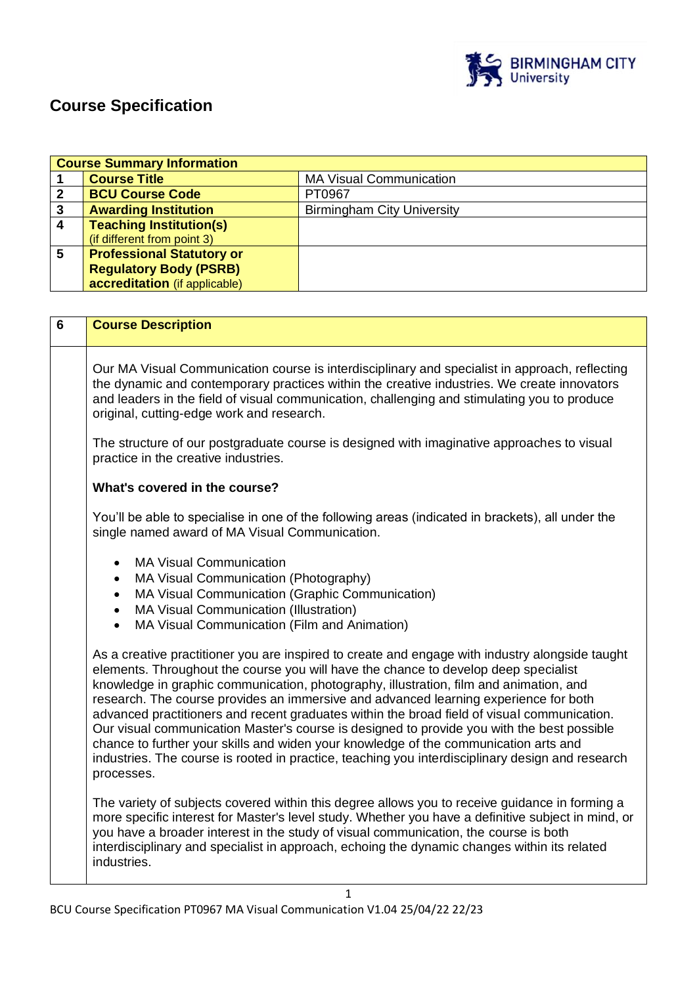

## **Course Specification**

|   | <b>Course Summary Information</b> |                                   |  |
|---|-----------------------------------|-----------------------------------|--|
|   | <b>Course Title</b>               | <b>MA Visual Communication</b>    |  |
|   | <b>BCU Course Code</b>            | PT0967                            |  |
| 3 | <b>Awarding Institution</b>       | <b>Birmingham City University</b> |  |
| Δ | <b>Teaching Institution(s)</b>    |                                   |  |
|   | (if different from point 3)       |                                   |  |
| 5 | <b>Professional Statutory or</b>  |                                   |  |
|   | <b>Regulatory Body (PSRB)</b>     |                                   |  |
|   | accreditation (if applicable)     |                                   |  |

| 6 | <b>Course Description</b>                                                                                                                                                                                                                                                                                                                                                                                                                                                                                                                                                                                                                                                                                                                                                       |
|---|---------------------------------------------------------------------------------------------------------------------------------------------------------------------------------------------------------------------------------------------------------------------------------------------------------------------------------------------------------------------------------------------------------------------------------------------------------------------------------------------------------------------------------------------------------------------------------------------------------------------------------------------------------------------------------------------------------------------------------------------------------------------------------|
|   | Our MA Visual Communication course is interdisciplinary and specialist in approach, reflecting<br>the dynamic and contemporary practices within the creative industries. We create innovators<br>and leaders in the field of visual communication, challenging and stimulating you to produce<br>original, cutting-edge work and research.                                                                                                                                                                                                                                                                                                                                                                                                                                      |
|   | The structure of our postgraduate course is designed with imaginative approaches to visual<br>practice in the creative industries.                                                                                                                                                                                                                                                                                                                                                                                                                                                                                                                                                                                                                                              |
|   | What's covered in the course?                                                                                                                                                                                                                                                                                                                                                                                                                                                                                                                                                                                                                                                                                                                                                   |
|   | You'll be able to specialise in one of the following areas (indicated in brackets), all under the<br>single named award of MA Visual Communication.                                                                                                                                                                                                                                                                                                                                                                                                                                                                                                                                                                                                                             |
|   | <b>MA Visual Communication</b><br>$\bullet$<br>MA Visual Communication (Photography)<br>$\bullet$<br>MA Visual Communication (Graphic Communication)<br>$\bullet$<br>MA Visual Communication (Illustration)<br>$\bullet$<br>MA Visual Communication (Film and Animation)<br>$\bullet$                                                                                                                                                                                                                                                                                                                                                                                                                                                                                           |
|   | As a creative practitioner you are inspired to create and engage with industry alongside taught<br>elements. Throughout the course you will have the chance to develop deep specialist<br>knowledge in graphic communication, photography, illustration, film and animation, and<br>research. The course provides an immersive and advanced learning experience for both<br>advanced practitioners and recent graduates within the broad field of visual communication.<br>Our visual communication Master's course is designed to provide you with the best possible<br>chance to further your skills and widen your knowledge of the communication arts and<br>industries. The course is rooted in practice, teaching you interdisciplinary design and research<br>processes. |
|   | The variety of subjects covered within this degree allows you to receive guidance in forming a<br>more specific interest for Master's level study. Whether you have a definitive subject in mind, or<br>you have a broader interest in the study of visual communication, the course is both<br>interdisciplinary and specialist in approach, echoing the dynamic changes within its related<br>industries.                                                                                                                                                                                                                                                                                                                                                                     |
|   | 1                                                                                                                                                                                                                                                                                                                                                                                                                                                                                                                                                                                                                                                                                                                                                                               |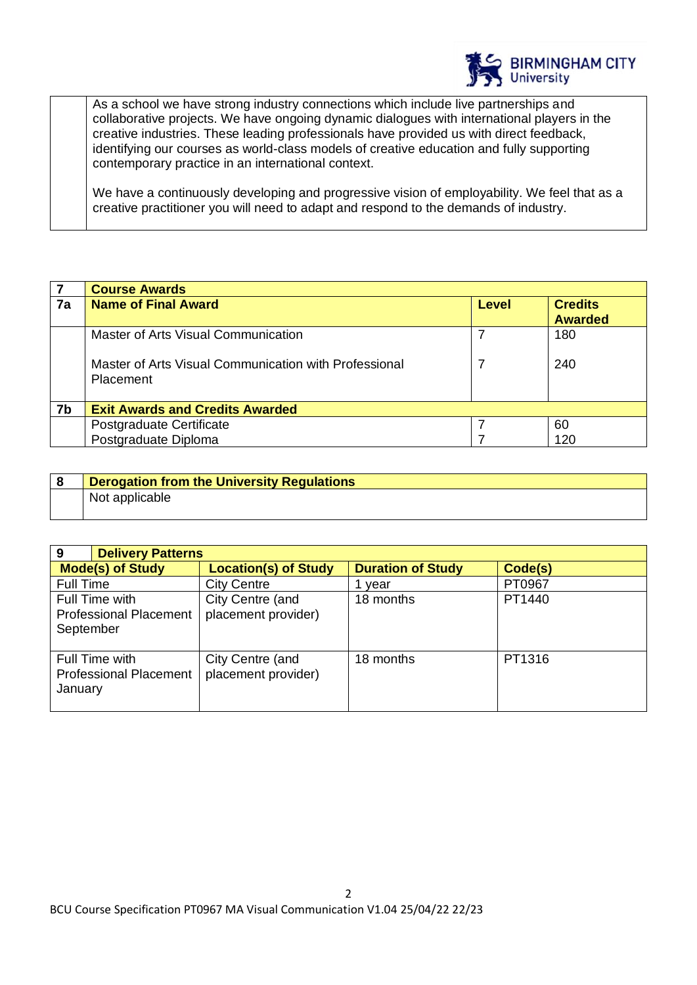

As a school we have strong industry connections which include live partnerships and collaborative projects. We have ongoing dynamic dialogues with international players in the creative industries. These leading professionals have provided us with direct feedback, identifying our courses as world-class models of creative education and fully supporting contemporary practice in an international context.

We have a continuously developing and progressive vision of employability. We feel that as a creative practitioner you will need to adapt and respond to the demands of industry.

| $\overline{7}$ | <b>Course Awards</b>                                                      |       |                                  |
|----------------|---------------------------------------------------------------------------|-------|----------------------------------|
| 7a             | <b>Name of Final Award</b>                                                | Level | <b>Credits</b><br><b>Awarded</b> |
|                | Master of Arts Visual Communication                                       |       | 180                              |
|                | Master of Arts Visual Communication with Professional<br><b>Placement</b> |       | 240                              |
| 7b             | <b>Exit Awards and Credits Awarded</b>                                    |       |                                  |
|                | Postgraduate Certificate                                                  |       | 60                               |
|                | Postgraduate Diploma                                                      |       | 120                              |

| <b>Derogation from the University Regulations</b> |  |
|---------------------------------------------------|--|
| Not applicable                                    |  |

| <b>Delivery Patterns</b><br>9                                |                                         |                          |         |
|--------------------------------------------------------------|-----------------------------------------|--------------------------|---------|
| <b>Mode(s) of Study</b>                                      | <b>Location(s) of Study</b>             | <b>Duration of Study</b> | Code(s) |
| <b>Full Time</b>                                             | <b>City Centre</b>                      | vear                     | PT0967  |
| Full Time with<br><b>Professional Placement</b><br>September | City Centre (and<br>placement provider) | 18 months                | PT1440  |
| Full Time with<br><b>Professional Placement</b><br>January   | City Centre (and<br>placement provider) | 18 months                | PT1316  |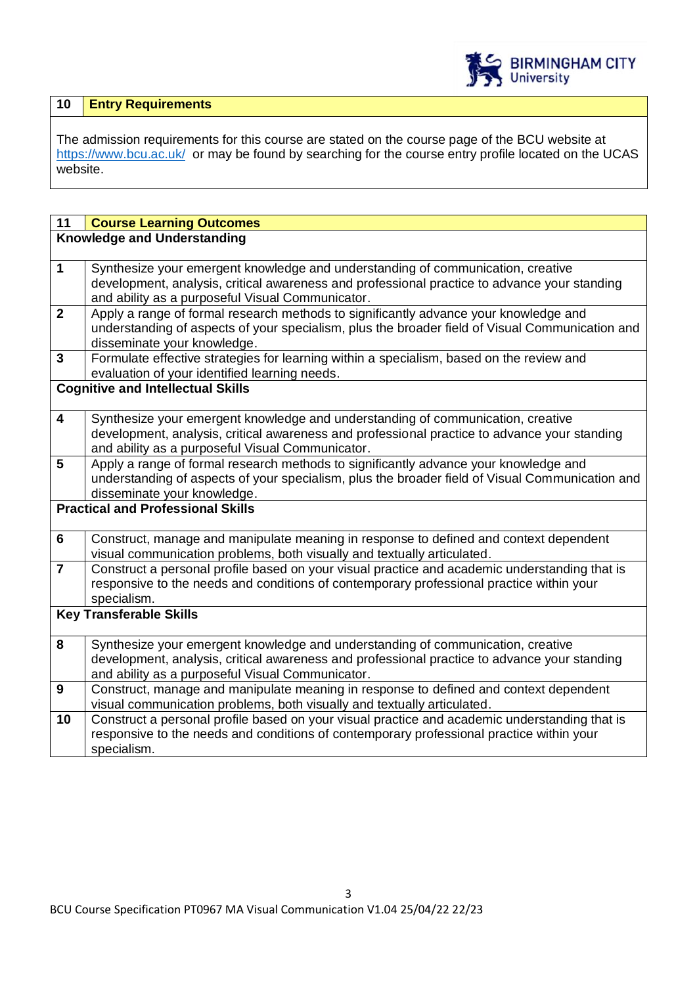

| 10   Entry Requirements |
|-------------------------|
|                         |

The admission requirements for this course are stated on the course page of the BCU website at <https://www.bcu.ac.uk/>or may be found by searching for the course entry profile located on the UCAS website.

| 11                      | <b>Course Learning Outcomes</b>                                                                                                                                                 |  |  |
|-------------------------|---------------------------------------------------------------------------------------------------------------------------------------------------------------------------------|--|--|
|                         | <b>Knowledge and Understanding</b>                                                                                                                                              |  |  |
|                         |                                                                                                                                                                                 |  |  |
| $\mathbf{1}$            | Synthesize your emergent knowledge and understanding of communication, creative                                                                                                 |  |  |
|                         | development, analysis, critical awareness and professional practice to advance your standing                                                                                    |  |  |
|                         | and ability as a purposeful Visual Communicator.                                                                                                                                |  |  |
| $\mathbf{2}$            | Apply a range of formal research methods to significantly advance your knowledge and                                                                                            |  |  |
|                         | understanding of aspects of your specialism, plus the broader field of Visual Communication and                                                                                 |  |  |
|                         | disseminate your knowledge.                                                                                                                                                     |  |  |
| $\mathbf{3}$            | Formulate effective strategies for learning within a specialism, based on the review and                                                                                        |  |  |
|                         | evaluation of your identified learning needs.                                                                                                                                   |  |  |
|                         | <b>Cognitive and Intellectual Skills</b>                                                                                                                                        |  |  |
| $\overline{\mathbf{4}}$ | Synthesize your emergent knowledge and understanding of communication, creative                                                                                                 |  |  |
|                         | development, analysis, critical awareness and professional practice to advance your standing                                                                                    |  |  |
|                         | and ability as a purposeful Visual Communicator.                                                                                                                                |  |  |
| 5                       | Apply a range of formal research methods to significantly advance your knowledge and                                                                                            |  |  |
|                         | understanding of aspects of your specialism, plus the broader field of Visual Communication and                                                                                 |  |  |
|                         | disseminate your knowledge.                                                                                                                                                     |  |  |
|                         | <b>Practical and Professional Skills</b>                                                                                                                                        |  |  |
|                         |                                                                                                                                                                                 |  |  |
| 6                       | Construct, manage and manipulate meaning in response to defined and context dependent                                                                                           |  |  |
|                         | visual communication problems, both visually and textually articulated.                                                                                                         |  |  |
| $\overline{7}$          | Construct a personal profile based on your visual practice and academic understanding that is                                                                                   |  |  |
|                         | responsive to the needs and conditions of contemporary professional practice within your                                                                                        |  |  |
|                         | specialism.                                                                                                                                                                     |  |  |
|                         | <b>Key Transferable Skills</b>                                                                                                                                                  |  |  |
|                         |                                                                                                                                                                                 |  |  |
| 8                       | Synthesize your emergent knowledge and understanding of communication, creative<br>development, analysis, critical awareness and professional practice to advance your standing |  |  |
|                         | and ability as a purposeful Visual Communicator.                                                                                                                                |  |  |
| 9                       | Construct, manage and manipulate meaning in response to defined and context dependent                                                                                           |  |  |
|                         | visual communication problems, both visually and textually articulated.                                                                                                         |  |  |
| 10                      | Construct a personal profile based on your visual practice and academic understanding that is                                                                                   |  |  |
|                         | responsive to the needs and conditions of contemporary professional practice within your                                                                                        |  |  |
|                         | specialism.                                                                                                                                                                     |  |  |
|                         |                                                                                                                                                                                 |  |  |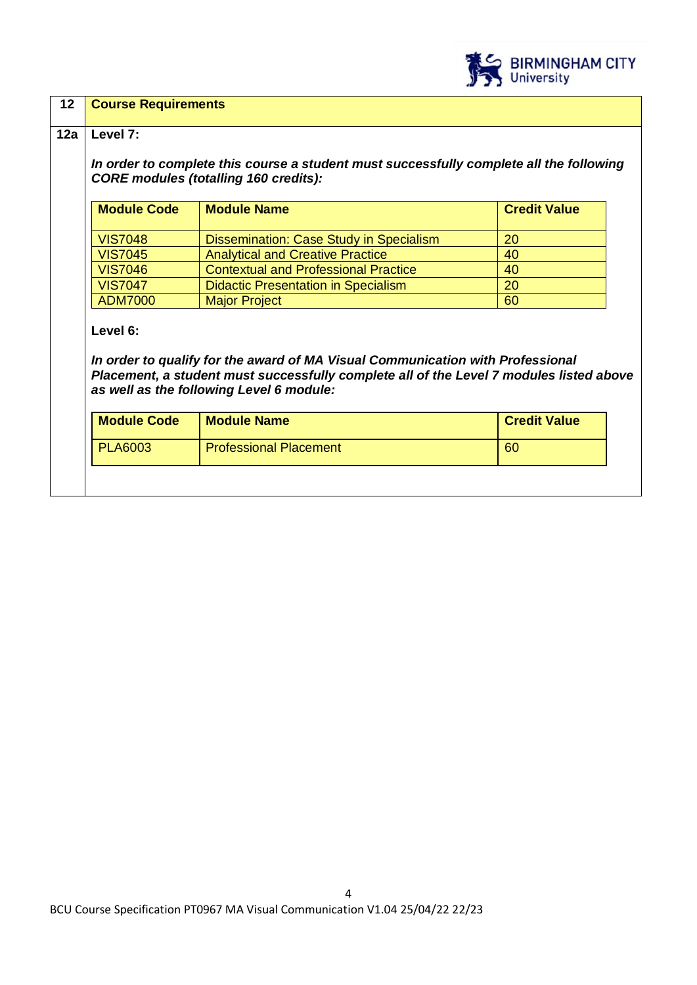

# **12 Course Requirements 12a Level 7:** *In order to complete this course a student must successfully complete all the following CORE modules (totalling 160 credits):* **Module Code** Module Name **Module 1 And Advertise Module Credit Value** VIS7048 | Dissemination: Case Study in Specialism | 20 VIS7045 Analytical and Creative Practice 40 VIS7046 Contextual and Professional Practice 40 VIS7047 | Didactic Presentation in Specialism | 20 ADM7000 Major Project 60 **Level 6:** *In order to qualify for the award of MA Visual Communication with Professional Placement, a student must successfully complete all of the Level 7 modules listed above as well as the following Level 6 module:* **Module Code | Module Name | Credit Value** PLA6003 Professional Placement COVID-1000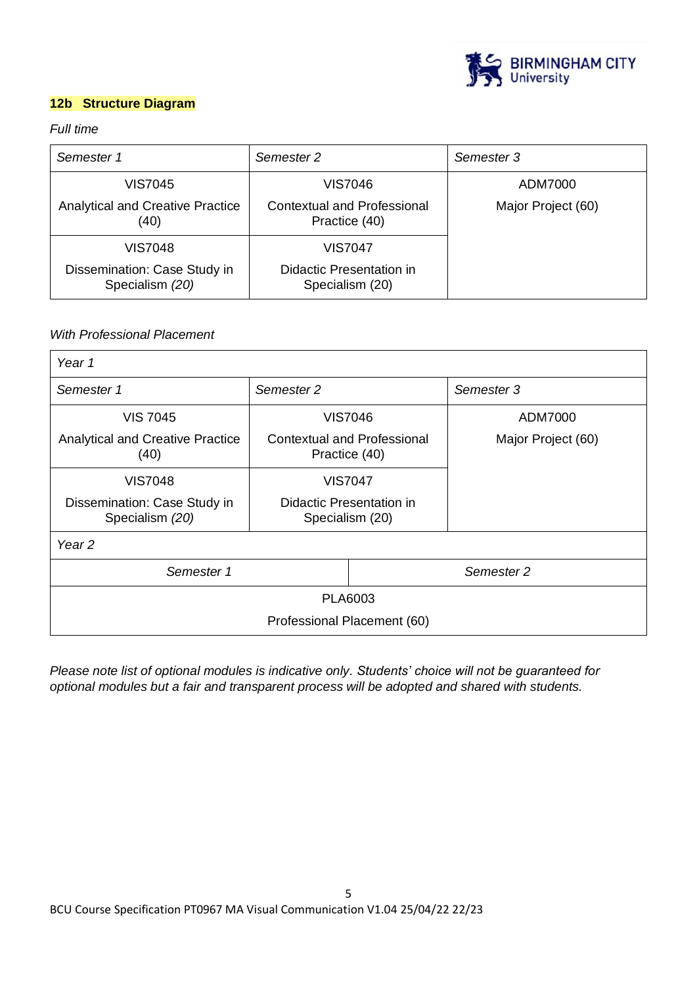

## **12b Structure Diagram**

## *Full time*

| Semester 1                                      | Semester 2                                          | Semester 3         |
|-------------------------------------------------|-----------------------------------------------------|--------------------|
| VIS7045                                         | VIS7046                                             | ADM7000            |
| <b>Analytical and Creative Practice</b><br>(40) | <b>Contextual and Professional</b><br>Practice (40) | Major Project (60) |
| VIS7048                                         | VIS7047                                             |                    |
| Dissemination: Case Study in<br>Specialism (20) | Didactic Presentation in<br>Specialism (20)         |                    |

## *With Professional Placement*

| Year 1                                          |                                                     |            |                    |
|-------------------------------------------------|-----------------------------------------------------|------------|--------------------|
| Semester 2<br>Semester 1                        |                                                     |            | Semester 3         |
| <b>VIS 7045</b>                                 | <b>VIS7046</b>                                      |            | ADM7000            |
| <b>Analytical and Creative Practice</b><br>(40) | <b>Contextual and Professional</b><br>Practice (40) |            | Major Project (60) |
| <b>VIS7048</b>                                  | <b>VIS7047</b>                                      |            |                    |
| Dissemination: Case Study in<br>Specialism (20) | Didactic Presentation in<br>Specialism (20)         |            |                    |
| Year <sub>2</sub>                               |                                                     |            |                    |
| Semester 1                                      |                                                     | Semester 2 |                    |
| PLA6003                                         |                                                     |            |                    |
| Professional Placement (60)                     |                                                     |            |                    |

*Please note list of optional modules is indicative only. Students' choice will not be guaranteed for optional modules but a fair and transparent process will be adopted and shared with students.*